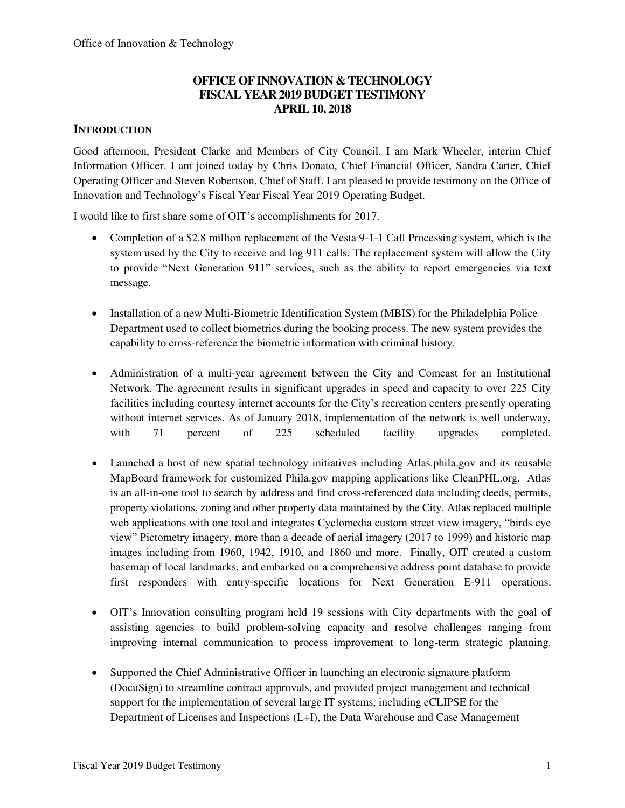# **OFFICE OF INNOVATION & TECHNOLOGY FISCAL YEAR 2019 BUDGET TESTIMONY APRIL 10, 2018**

# **INTRODUCTION**

Good afternoon, President Clarke and Members of City Council. I am Mark Wheeler, interim Chief Information Officer. I am joined today by Chris Donato, Chief Financial Officer, Sandra Carter, Chief Operating Officer and Steven Robertson, Chief of Staff. I am pleased to provide testimony on the Office of Innovation and Technology's Fiscal Year Fiscal Year 2019 Operating Budget.

I would like to first share some of OIT's accomplishments for 2017.

- Completion of a \$2.8 million replacement of the Vesta 9-1-1 Call Processing system, which is the system used by the City to receive and log 911 calls. The replacement system will allow the City to provide "Next Generation 911" services, such as the ability to report emergencies via text message.
- Installation of a new Multi-Biometric Identification System (MBIS) for the Philadelphia Police Department used to collect biometrics during the booking process. The new system provides the capability to cross-reference the biometric information with criminal history.
- Administration of a multi-year agreement between the City and Comcast for an Institutional Network. The agreement results in significant upgrades in speed and capacity to over 225 City facilities including courtesy internet accounts for the City's recreation centers presently operating without internet services. As of January 2018, implementation of the network is well underway, with 71 percent of 225 scheduled facility upgrades completed.
- Launched a host of new spatial technology initiatives including Atlas.phila.gov and its reusable MapBoard framework for customized Phila.gov mapping applications like CleanPHL.org. Atlas is an all-in-one tool to search by address and find cross-referenced data including deeds, permits, property violations, zoning and other property data maintained by the City. Atlas replaced multiple web applications with one tool and integrates Cyclomedia custom street view imagery, "birds eye view" Pictometry imagery, more than a decade of aerial imagery (2017 to 1999) and historic map images including from 1960, 1942, 1910, and 1860 and more. Finally, OIT created a custom basemap of local landmarks, and embarked on a comprehensive address point database to provide first responders with entry-specific locations for Next Generation E-911 operations.
- OIT's Innovation consulting program held 19 sessions with City departments with the goal of assisting agencies to build problem-solving capacity and resolve challenges ranging from improving internal communication to process improvement to long-term strategic planning.
- Supported the Chief Administrative Officer in launching an electronic signature platform (DocuSign) to streamline contract approvals, and provided project management and technical support for the implementation of several large IT systems, including eCLIPSE for the Department of Licenses and Inspections (L+I), the Data Warehouse and Case Management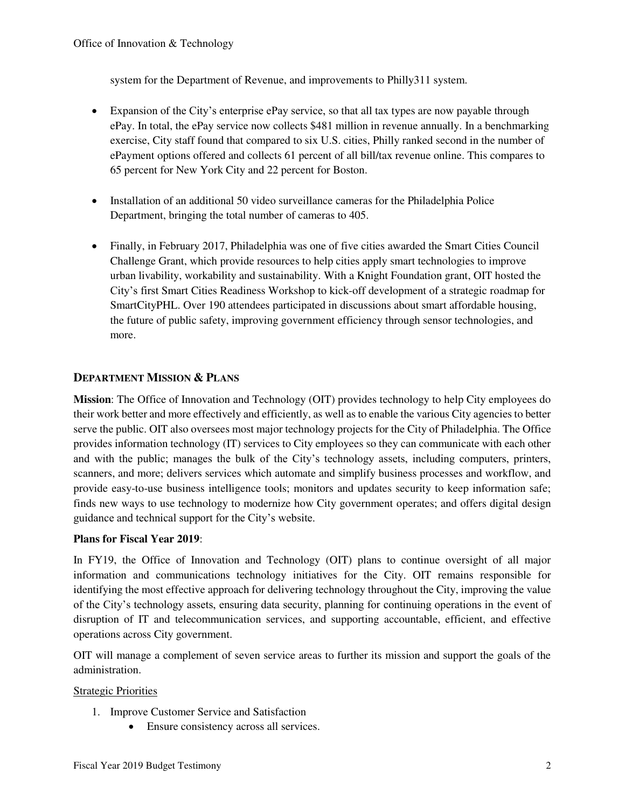system for the Department of Revenue, and improvements to Philly311 system.

- Expansion of the City's enterprise ePay service, so that all tax types are now payable through ePay. In total, the ePay service now collects \$481 million in revenue annually. In a benchmarking exercise, City staff found that compared to six U.S. cities, Philly ranked second in the number of ePayment options offered and collects 61 percent of all bill/tax revenue online. This compares to 65 percent for New York City and 22 percent for Boston.
- Installation of an additional 50 video surveillance cameras for the Philadelphia Police Department, bringing the total number of cameras to 405.
- Finally, in February 2017, Philadelphia was one of five cities awarded the Smart Cities Council Challenge Grant, which provide resources to help cities apply smart technologies to improve urban livability, workability and sustainability. With a Knight Foundation grant, OIT hosted the City's first Smart Cities Readiness Workshop to kick-off development of a strategic roadmap for SmartCityPHL. Over 190 attendees participated in discussions about smart affordable housing, the future of public safety, improving government efficiency through sensor technologies, and more.

# **DEPARTMENT MISSION & PLANS**

**Mission**: The Office of Innovation and Technology (OIT) provides technology to help City employees do their work better and more effectively and efficiently, as well as to enable the various City agencies to better serve the public. OIT also oversees most major technology projects for the City of Philadelphia. The Office provides information technology (IT) services to City employees so they can communicate with each other and with the public; manages the bulk of the City's technology assets, including computers, printers, scanners, and more; delivers services which automate and simplify business processes and workflow, and provide easy-to-use business intelligence tools; monitors and updates security to keep information safe; finds new ways to use technology to modernize how City government operates; and offers digital design guidance and technical support for the City's website.

#### **Plans for Fiscal Year 2019**:

In FY19, the Office of Innovation and Technology (OIT) plans to continue oversight of all major information and communications technology initiatives for the City. OIT remains responsible for identifying the most effective approach for delivering technology throughout the City, improving the value of the City's technology assets, ensuring data security, planning for continuing operations in the event of disruption of IT and telecommunication services, and supporting accountable, efficient, and effective operations across City government.

OIT will manage a complement of seven service areas to further its mission and support the goals of the administration.

#### Strategic Priorities

- 1. Improve Customer Service and Satisfaction
	- Ensure consistency across all services.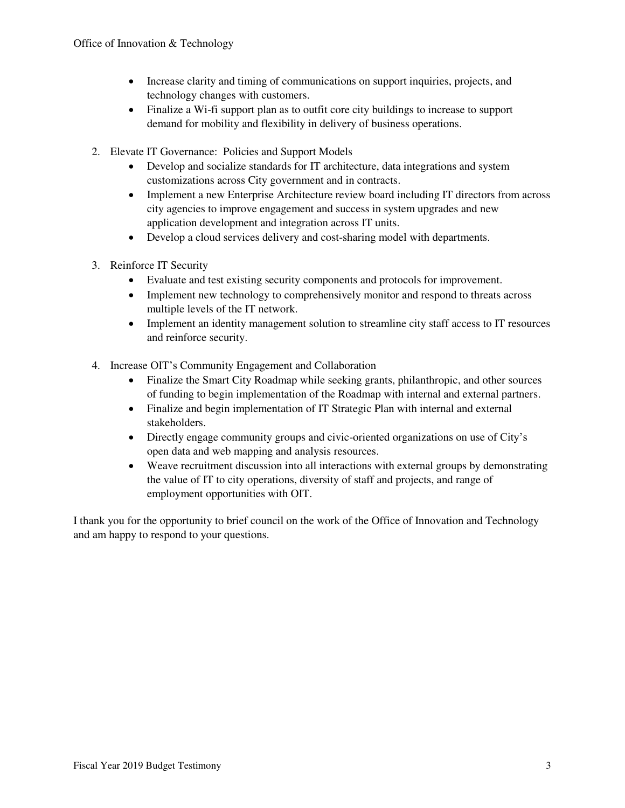- Increase clarity and timing of communications on support inquiries, projects, and technology changes with customers.
- Finalize a Wi-fi support plan as to outfit core city buildings to increase to support demand for mobility and flexibility in delivery of business operations.
- 2. Elevate IT Governance: Policies and Support Models
	- Develop and socialize standards for IT architecture, data integrations and system customizations across City government and in contracts.
	- Implement a new Enterprise Architecture review board including IT directors from across city agencies to improve engagement and success in system upgrades and new application development and integration across IT units.
	- Develop a cloud services delivery and cost-sharing model with departments.
- 3. Reinforce IT Security
	- Evaluate and test existing security components and protocols for improvement.
	- Implement new technology to comprehensively monitor and respond to threats across multiple levels of the IT network.
	- Implement an identity management solution to streamline city staff access to IT resources and reinforce security.
- 4. Increase OIT's Community Engagement and Collaboration
	- Finalize the Smart City Roadmap while seeking grants, philanthropic, and other sources of funding to begin implementation of the Roadmap with internal and external partners.
	- Finalize and begin implementation of IT Strategic Plan with internal and external stakeholders.
	- Directly engage community groups and civic-oriented organizations on use of City's open data and web mapping and analysis resources.
	- Weave recruitment discussion into all interactions with external groups by demonstrating the value of IT to city operations, diversity of staff and projects, and range of employment opportunities with OIT.

I thank you for the opportunity to brief council on the work of the Office of Innovation and Technology and am happy to respond to your questions.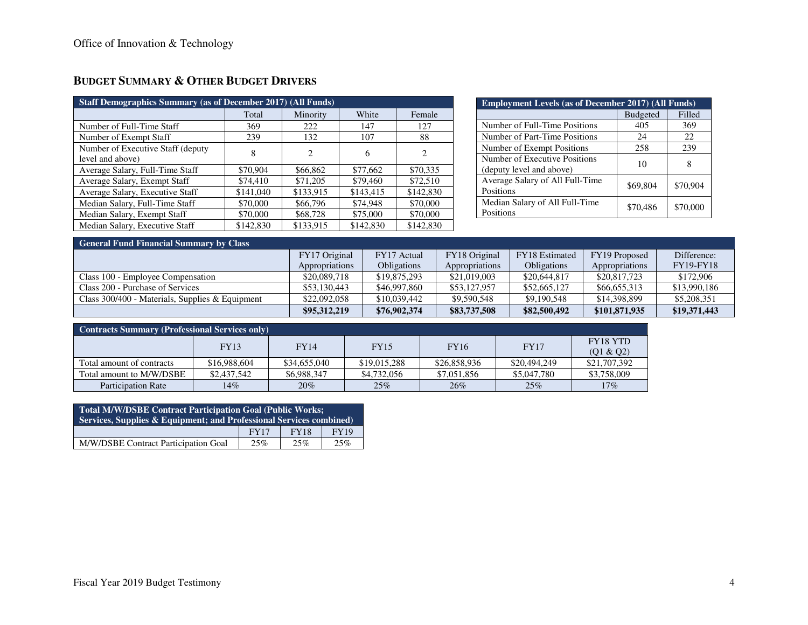| <b>Staff Demographics Summary (as of December 2017) (All Funds)</b> |           |           |           |                |  |  |  |  |
|---------------------------------------------------------------------|-----------|-----------|-----------|----------------|--|--|--|--|
|                                                                     | Total     | Minority  | White     | Female         |  |  |  |  |
| Number of Full-Time Staff                                           | 369       | 222       | 147       | 127            |  |  |  |  |
| Number of Exempt Staff                                              | 239       | 132       | 107       | 88             |  |  |  |  |
| Number of Executive Staff (deputy)<br>level and above)              | 8         | 2         | 6         | $\overline{c}$ |  |  |  |  |
| Average Salary, Full-Time Staff                                     | \$70,904  | \$66,862  | \$77,662  | \$70,335       |  |  |  |  |
| Average Salary, Exempt Staff                                        | \$74,410  | \$71,205  | \$79,460  | \$72,510       |  |  |  |  |
| Average Salary, Executive Staff                                     | \$141,040 | \$133,915 | \$143,415 | \$142,830      |  |  |  |  |
| Median Salary, Full-Time Staff                                      | \$70,000  | \$66,796  | \$74,948  | \$70,000       |  |  |  |  |
| Median Salary, Exempt Staff                                         | \$70,000  | \$68,728  | \$75,000  | \$70,000       |  |  |  |  |
| Median Salary, Executive Staff                                      | \$142,830 | \$133,915 | \$142,830 | \$142,830      |  |  |  |  |

# **BUDGET SUMMARY & OTHER BUDGET DRIVERS**

| <b>Employment Levels (as of December 2017) (All Funds)</b> |                 |          |  |  |  |
|------------------------------------------------------------|-----------------|----------|--|--|--|
|                                                            | <b>Budgeted</b> | Filled   |  |  |  |
| Number of Full-Time Positions                              | 405             | 369      |  |  |  |
| Number of Part-Time Positions                              | 24              | 22       |  |  |  |
| Number of Exempt Positions                                 | 258             | 239      |  |  |  |
| Number of Executive Positions<br>(deputy level and above)  | 10              | 8        |  |  |  |
| Average Salary of All Full-Time<br>Positions               | \$69,804        | \$70,904 |  |  |  |
| Median Salary of All Full-Time<br>Positions                | \$70,486        | \$70,000 |  |  |  |

|  |  | <b>General Fund Financial Summary by Class</b> |  |
|--|--|------------------------------------------------|--|
|--|--|------------------------------------------------|--|

| <u>E General Fund Financial Summary Dy Class</u>  |                |                    |                |                    |                |                  |  |  |
|---------------------------------------------------|----------------|--------------------|----------------|--------------------|----------------|------------------|--|--|
|                                                   | FY17 Original  | FY17 Actual        | FY18 Original  | FY18 Estimated     | FY19 Proposed  | Difference:      |  |  |
|                                                   | Appropriations | <b>Obligations</b> | Appropriations | <b>Obligations</b> | Appropriations | <b>FY19-FY18</b> |  |  |
| Class 100 - Employee Compensation                 | \$20,089,718   | \$19,875,293       | \$21,019,003   | \$20,644,817       | \$20,817,723   | \$172,906        |  |  |
| Class 200 - Purchase of Services                  | \$53,130,443   | \$46,997,860       | \$53,127,957   | \$52,665,127       | \$66,655,313   | \$13,990,186     |  |  |
| Class $300/400$ - Materials, Supplies & Equipment | \$22,092,058   | \$10,039,442       | \$9,590,548    | \$9,190,548        | \$14,398,899   | \$5,208,351      |  |  |
|                                                   | \$95,312,219   | \$76,902,374       | \$83,737,508   | \$82,500,492       | \$101,871,935  | \$19,371,443     |  |  |

| <b>Contracts Summary (Professional Services only)</b> |              |              |              |              |              |                       |  |
|-------------------------------------------------------|--------------|--------------|--------------|--------------|--------------|-----------------------|--|
|                                                       | <b>FY13</b>  | <b>FY14</b>  | <b>FY15</b>  | <b>FY16</b>  | <b>FY17</b>  | FY18 YTD<br>(Q1 & Q2) |  |
| Total amount of contracts                             | \$16,988,604 | \$34,655,040 | \$19,015,288 | \$26,858,936 | \$20,494,249 | \$21,707,392          |  |
| Total amount to M/W/DSBE                              | \$2,437,542  | \$6,988,347  | \$4,732,056  | \$7,051,856  | \$5,047,780  | \$3,758,009           |  |
| <b>Participation Rate</b>                             | 14%          | 20%          | 25%          | 26%          | 25%          | 17%                   |  |

| <b>Total M/W/DSBE Contract Participation Goal (Public Works;</b><br>Services, Supplies & Equipment; and Professional Services combined) |             |             |             |  |  |
|-----------------------------------------------------------------------------------------------------------------------------------------|-------------|-------------|-------------|--|--|
|                                                                                                                                         | <b>FY17</b> | <b>FY18</b> | <b>FY19</b> |  |  |
| M/W/DSBE Contract Participation Goal                                                                                                    | 25%         | 25%         | 25%         |  |  |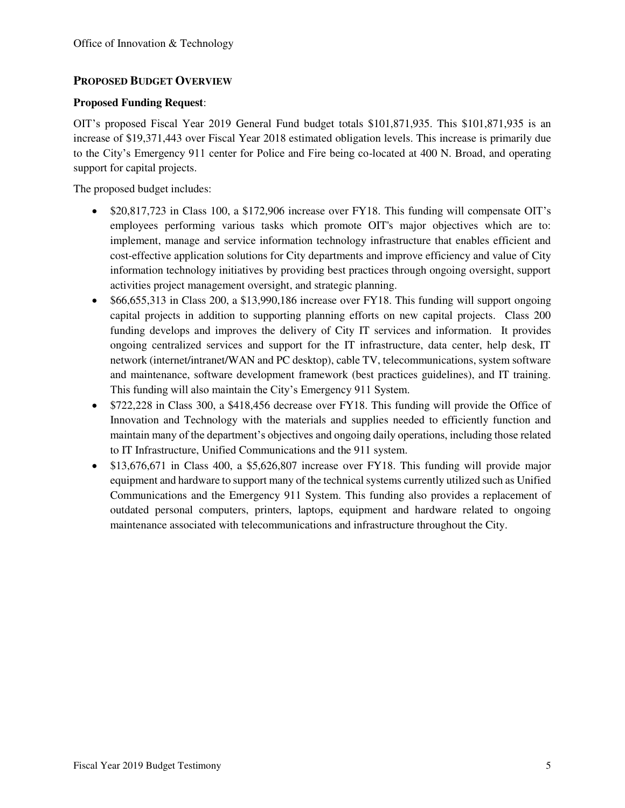# **PROPOSED BUDGET OVERVIEW**

#### **Proposed Funding Request**:

OIT's proposed Fiscal Year 2019 General Fund budget totals \$101,871,935. This \$101,871,935 is an increase of \$19,371,443 over Fiscal Year 2018 estimated obligation levels. This increase is primarily due to the City's Emergency 911 center for Police and Fire being co-located at 400 N. Broad, and operating support for capital projects.

The proposed budget includes:

- \$20,817,723 in Class 100, a \$172,906 increase over FY18. This funding will compensate OIT's employees performing various tasks which promote OIT's major objectives which are to: implement, manage and service information technology infrastructure that enables efficient and cost-effective application solutions for City departments and improve efficiency and value of City information technology initiatives by providing best practices through ongoing oversight, support activities project management oversight, and strategic planning.
- \$66,655,313 in Class 200, a \$13,990,186 increase over FY18. This funding will support ongoing capital projects in addition to supporting planning efforts on new capital projects. Class 200 funding develops and improves the delivery of City IT services and information. It provides ongoing centralized services and support for the IT infrastructure, data center, help desk, IT network (internet/intranet/WAN and PC desktop), cable TV, telecommunications, system software and maintenance, software development framework (best practices guidelines), and IT training. This funding will also maintain the City's Emergency 911 System.
- \$722,228 in Class 300, a \$418,456 decrease over FY18. This funding will provide the Office of Innovation and Technology with the materials and supplies needed to efficiently function and maintain many of the department's objectives and ongoing daily operations, including those related to IT Infrastructure, Unified Communications and the 911 system.
- \$13,676,671 in Class 400, a \$5,626,807 increase over FY18. This funding will provide major equipment and hardware to support many of the technical systems currently utilized such as Unified Communications and the Emergency 911 System. This funding also provides a replacement of outdated personal computers, printers, laptops, equipment and hardware related to ongoing maintenance associated with telecommunications and infrastructure throughout the City.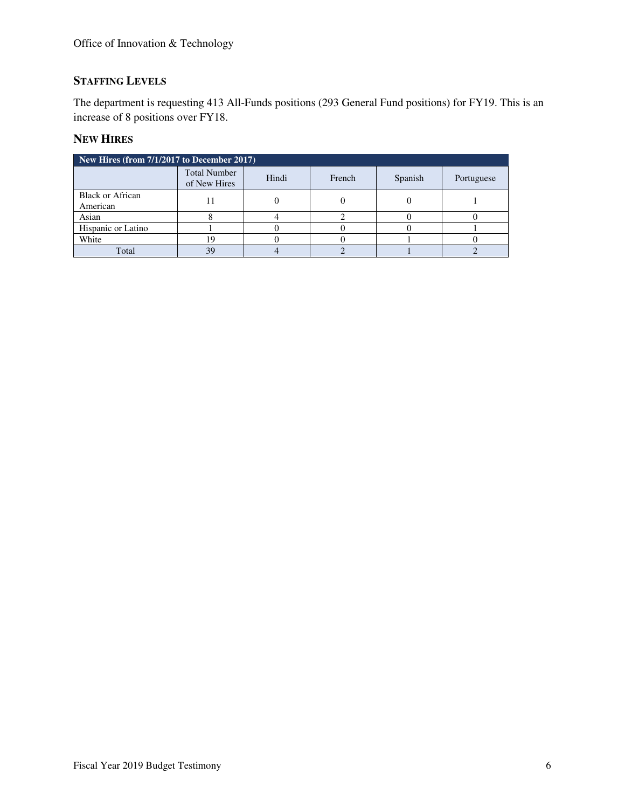# **STAFFING LEVELS**

The department is requesting 413 All-Funds positions (293 General Fund positions) for FY19. This is an increase of 8 positions over FY18.

# **NEW HIRES**

| New Hires (from $7/1/2\overline{017}$ to December 2017) |                                     |       |        |         |            |  |  |  |
|---------------------------------------------------------|-------------------------------------|-------|--------|---------|------------|--|--|--|
|                                                         | <b>Total Number</b><br>of New Hires | Hindi | French | Spanish | Portuguese |  |  |  |
| <b>Black or African</b><br>American                     |                                     |       |        |         |            |  |  |  |
| Asian                                                   |                                     |       |        |         |            |  |  |  |
| Hispanic or Latino                                      |                                     |       |        |         |            |  |  |  |
| White                                                   |                                     |       |        |         |            |  |  |  |
| Total                                                   | 39                                  |       |        |         |            |  |  |  |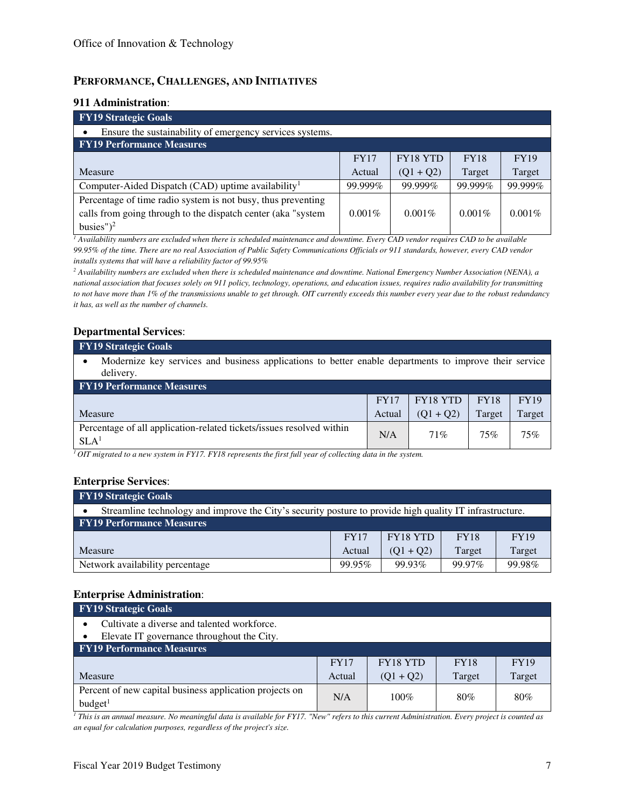## **PERFORMANCE, CHALLENGES, AND INITIATIVES**

#### **911 Administration**:

| <b>FY19 Strategic Goals</b>                                    |           |                 |             |             |  |  |  |
|----------------------------------------------------------------|-----------|-----------------|-------------|-------------|--|--|--|
| Ensure the sustainability of emergency services systems.       |           |                 |             |             |  |  |  |
| <b>FY19 Performance Measures</b>                               |           |                 |             |             |  |  |  |
|                                                                | FY17      | <b>FY18 YTD</b> | <b>FY18</b> | <b>FY19</b> |  |  |  |
| Measure                                                        | Actual    | $(Q1 + Q2)$     | Target      | Target      |  |  |  |
| Computer-Aided Dispatch (CAD) uptime availability <sup>1</sup> | 99.999%   | 99.999%         | 99.999%     | 99.999%     |  |  |  |
| Percentage of time radio system is not busy, thus preventing   |           |                 |             |             |  |  |  |
| calls from going through to the dispatch center (aka "system   | $0.001\%$ | $0.001\%$       | $0.001\%$   | $0.001\%$   |  |  |  |
| busies" $)^2$                                                  |           |                 |             |             |  |  |  |

*1 Availability numbers are excluded when there is scheduled maintenance and downtime. Every CAD vendor requires CAD to be available 99.95% of the time. There are no real Association of Public Safety Communications Officials or 911 standards, however, every CAD vendor installs systems that will have a reliability factor of 99.95%* 

*2 Availability numbers are excluded when there is scheduled maintenance and downtime. National Emergency Number Association (NENA), a national association that focuses solely on 911 policy, technology, operations, and education issues, requires radio availability for transmitting to not have more than 1% of the transmissions unable to get through. OIT currently exceeds this number every year due to the robust redundancy it has, as well as the number of channels.* 

### **Departmental Services**:

#### **FY19 Strategic Goals**

• Modernize key services and business applications to better enable departments to improve their service delivery.

| <b>FY19 Performance Measures</b>                                                         |             |                                   |             |             |  |  |  |
|------------------------------------------------------------------------------------------|-------------|-----------------------------------|-------------|-------------|--|--|--|
|                                                                                          | <b>FY17</b> | $\overline{\phantom{a}}$ FY18 YTD | <b>FY18</b> | <b>FY19</b> |  |  |  |
| Measure                                                                                  | Actual      | $(01 + 02)$                       | Target      | Target      |  |  |  |
| Percentage of all application-related tickets/issues resolved within<br>SLA <sup>1</sup> | N/A         | 71%                               | 75%         | 75%         |  |  |  |

*<sup>1</sup>OIT migrated to a new system in FY17. FY18 represents the first full year of collecting data in the system.*

#### **Enterprise Services**:

| <b>FY19 Strategic Goals</b>                                                                              |             |                 |             |             |  |  |  |
|----------------------------------------------------------------------------------------------------------|-------------|-----------------|-------------|-------------|--|--|--|
| Streamline technology and improve the City's security posture to provide high quality IT infrastructure. |             |                 |             |             |  |  |  |
| <b>FY19 Performance Measures</b>                                                                         |             |                 |             |             |  |  |  |
|                                                                                                          | <b>FY17</b> | <b>FY18 YTD</b> | <b>FY18</b> | <b>FY19</b> |  |  |  |
| Measure                                                                                                  | Actual      | $(01 + 02)$     | Target      | Target      |  |  |  |
| Network availability percentage                                                                          | 99.95%      | 99.93%          | 99.97%      | 99.98%      |  |  |  |

#### **Enterprise Administration**:

| <b>FY19</b> Strategic Goals                             |             |                 |             |             |  |  |
|---------------------------------------------------------|-------------|-----------------|-------------|-------------|--|--|
| Cultivate a diverse and talented workforce.             |             |                 |             |             |  |  |
| Elevate IT governance throughout the City.              |             |                 |             |             |  |  |
| <b>FY19 Performance Measures</b>                        |             |                 |             |             |  |  |
|                                                         | <b>FY17</b> | <b>FY18 YTD</b> | <b>FY18</b> | <b>FY19</b> |  |  |
| Measure                                                 | Actual      | $(Q1 + Q2)$     | Target      | Target      |  |  |
| Percent of new capital business application projects on | N/A         | $100\%$         | 80%         | 80%         |  |  |
| budget <sup>1</sup>                                     |             |                 |             |             |  |  |

*1 This is an annual measure. No meaningful data is available for FY17. "New" refers to this current Administration. Every project is counted as an equal for calculation purposes, regardless of the project's size.*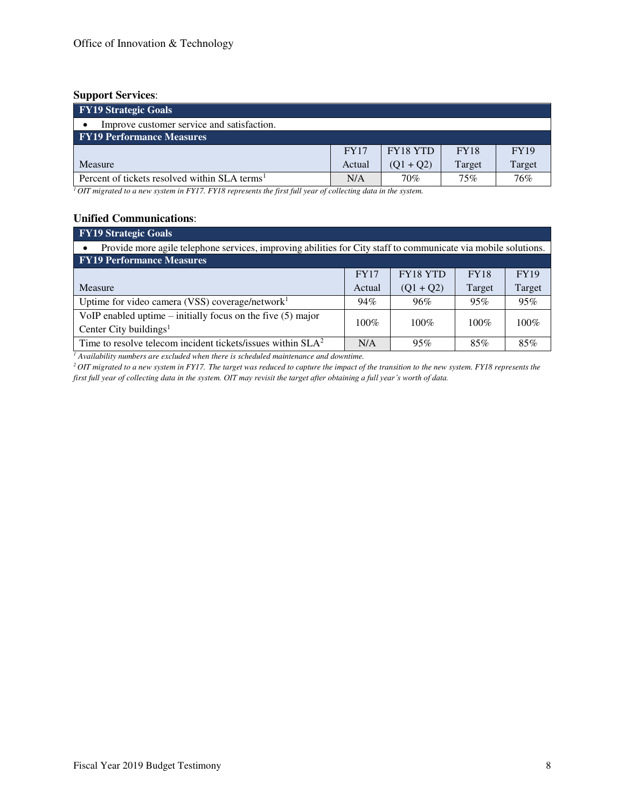### **Support Services**:

| <b>FY19 Strategic Goals</b>                               |             |             |             |        |  |  |
|-----------------------------------------------------------|-------------|-------------|-------------|--------|--|--|
| Improve customer service and satisfaction.                |             |             |             |        |  |  |
| <b>FY19 Performance Measures</b>                          |             |             |             |        |  |  |
|                                                           | <b>FY17</b> | FY18 YTD    | <b>FY18</b> | FY19   |  |  |
| Measure                                                   | Actual      | $(01 + 02)$ | Target      | Target |  |  |
| Percent of tickets resolved within SLA terms <sup>1</sup> | N/A         | 70%         | 75%         | 76%    |  |  |

*<sup>1</sup>OIT migrated to a new system in FY17. FY18 represents the first full year of collecting data in the system.*

# **Unified Communications**:

| <b>FY19 Strategic Goals</b>                                                                                    |             |                 |             |             |  |  |  |  |
|----------------------------------------------------------------------------------------------------------------|-------------|-----------------|-------------|-------------|--|--|--|--|
| Provide more agile telephone services, improving abilities for City staff to communicate via mobile solutions. |             |                 |             |             |  |  |  |  |
| <b>FY19 Performance Measures</b>                                                                               |             |                 |             |             |  |  |  |  |
|                                                                                                                | <b>FY17</b> | <b>FY18 YTD</b> | <b>FY18</b> | <b>FY19</b> |  |  |  |  |
| <b>Measure</b>                                                                                                 | Actual      | $(Q1 + Q2)$     | Target      | Target      |  |  |  |  |
| Uptime for video camera (VSS) coverage/network $1$                                                             | 94%         | 96%             | 95%         | 95%         |  |  |  |  |
| VoIP enabled uptime $-$ initially focus on the five $(5)$ major                                                | $100\%$     | $100\%$         | $100\%$     | $100\%$     |  |  |  |  |
| Center City buildings <sup>1</sup>                                                                             |             |                 |             |             |  |  |  |  |
| Time to resolve telecom incident tickets/issues within $SLA2$                                                  | N/A         | 95%             | 85%         | 85%         |  |  |  |  |

<sup>1</sup> Availability numbers are excluded when there is scheduled maintenance and downtime.

*<sup>2</sup>OIT migrated to a new system in FY17. The target was reduced to capture the impact of the transition to the new system. FY18 represents the first full year of collecting data in the system. OIT may revisit the target after obtaining a full year's worth of data.*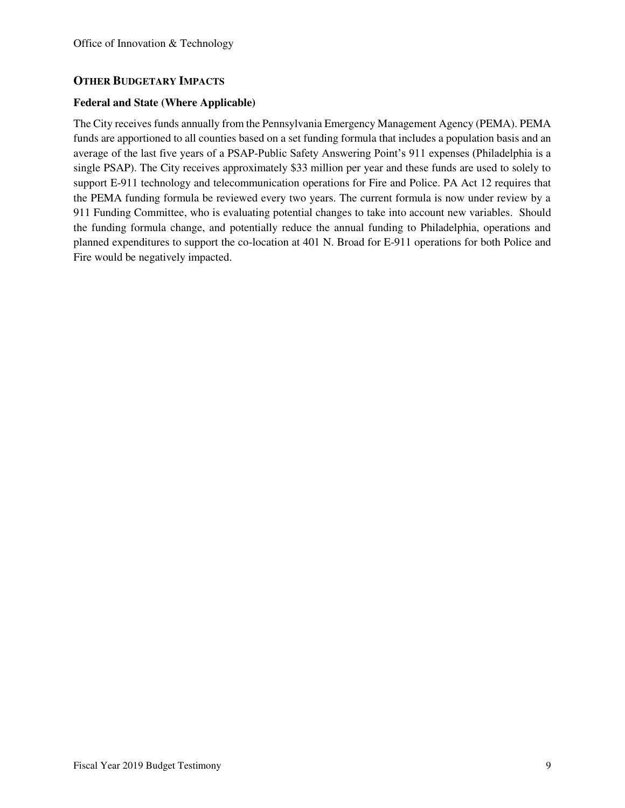## **OTHER BUDGETARY IMPACTS**

#### **Federal and State (Where Applicable)**

The City receives funds annually from the Pennsylvania Emergency Management Agency (PEMA). PEMA funds are apportioned to all counties based on a set funding formula that includes a population basis and an average of the last five years of a PSAP-Public Safety Answering Point's 911 expenses (Philadelphia is a single PSAP). The City receives approximately \$33 million per year and these funds are used to solely to support E-911 technology and telecommunication operations for Fire and Police. PA Act 12 requires that the PEMA funding formula be reviewed every two years. The current formula is now under review by a 911 Funding Committee, who is evaluating potential changes to take into account new variables. Should the funding formula change, and potentially reduce the annual funding to Philadelphia, operations and planned expenditures to support the co-location at 401 N. Broad for E-911 operations for both Police and Fire would be negatively impacted.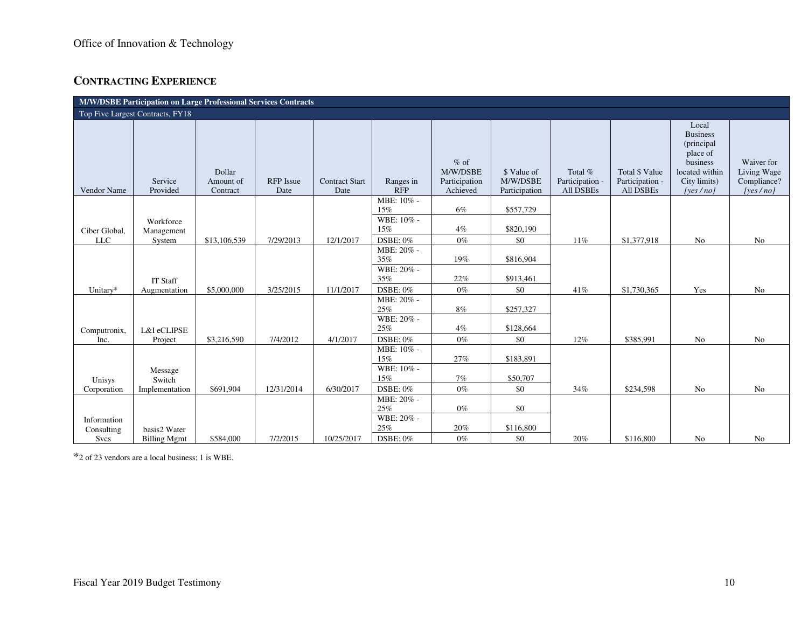# **CONTRACTING EXPERIENCE**

| M/W/DSBE Participation on Large Professional Services Contracts |                         |                                 |                          |                               |                                 |                                                 |                                          |                                         |                                                |                                                                                                               |                                                          |
|-----------------------------------------------------------------|-------------------------|---------------------------------|--------------------------|-------------------------------|---------------------------------|-------------------------------------------------|------------------------------------------|-----------------------------------------|------------------------------------------------|---------------------------------------------------------------------------------------------------------------|----------------------------------------------------------|
| Top Five Largest Contracts, FY18                                |                         |                                 |                          |                               |                                 |                                                 |                                          |                                         |                                                |                                                                                                               |                                                          |
| Vendor Name                                                     | Service<br>Provided     | Dollar<br>Amount of<br>Contract | <b>RFP</b> Issue<br>Date | <b>Contract Start</b><br>Date | Ranges in<br><b>RFP</b>         | $%$ of<br>M/W/DSBE<br>Participation<br>Achieved | \$ Value of<br>M/W/DSBE<br>Participation | Total %<br>Participation -<br>All DSBEs | Total \$ Value<br>Participation -<br>All DSBEs | Local<br><b>Business</b><br>(principal)<br>place of<br>business<br>located within<br>City limits)<br>[yes/no] | Waiver for<br>Living Wage<br>Compliance?<br>[yes $/no$ ] |
|                                                                 |                         |                                 |                          |                               | MBE: 10% -<br>15%               | 6%                                              | \$557,729                                |                                         |                                                |                                                                                                               |                                                          |
| Ciber Global,                                                   | Workforce<br>Management |                                 |                          |                               | WBE: 10% -<br>15%               | 4%                                              | \$820,190                                |                                         |                                                |                                                                                                               |                                                          |
| <b>LLC</b>                                                      | System                  | \$13,106,539                    | 7/29/2013                | 12/1/2017                     | DSBE: 0%                        | $0\%$                                           | \$0                                      | 11%                                     | \$1,377,918                                    | No                                                                                                            | No                                                       |
|                                                                 |                         |                                 |                          |                               | MBE: 20% -<br>35%<br>WBE: 20% - | 19%                                             | \$816,904                                |                                         |                                                |                                                                                                               |                                                          |
|                                                                 | <b>IT Staff</b>         |                                 |                          |                               | 35%                             | 22%                                             | \$913,461                                |                                         |                                                |                                                                                                               |                                                          |
| Unitary*                                                        | Augmentation            | \$5,000,000                     | 3/25/2015                | 11/1/2017                     | DSBE: 0%                        | $0\%$                                           | \$0                                      | 41%                                     | \$1,730,365                                    | Yes                                                                                                           | No                                                       |
|                                                                 |                         |                                 |                          |                               | MBE: 20% -<br>25%<br>WBE: 20% - | 8%                                              | \$257,327                                |                                         |                                                |                                                                                                               |                                                          |
| Computronix,                                                    | L&I eCLIPSE             |                                 |                          |                               | 25%                             | 4%                                              | \$128,664                                |                                         |                                                |                                                                                                               |                                                          |
| Inc.                                                            | Project                 | \$3,216,590                     | 7/4/2012                 | 4/1/2017                      | DSBE: 0%                        | $0\%$                                           | \$0                                      | 12%                                     | \$385,991                                      | No                                                                                                            | No                                                       |
|                                                                 |                         |                                 |                          |                               | MBE: 10% -<br>15%               | 27%                                             | \$183,891                                |                                         |                                                |                                                                                                               |                                                          |
| Unisys                                                          | Message<br>Switch       |                                 |                          |                               | WBE: 10% -<br>15%               | 7%                                              | \$50,707                                 |                                         |                                                |                                                                                                               |                                                          |
| Corporation                                                     | Implementation          | \$691,904                       | 12/31/2014               | 6/30/2017                     | DSBE: 0%                        | $0\%$                                           | \$0                                      | 34%                                     | \$234,598                                      | No                                                                                                            | No                                                       |
|                                                                 |                         |                                 |                          |                               | MBE: 20% -<br>25%               | $0\%$                                           | \$0                                      |                                         |                                                |                                                                                                               |                                                          |
| Information<br>Consulting                                       | basis2 Water            |                                 |                          |                               | WBE: 20% -<br>25%               | 20%                                             | \$116,800                                |                                         |                                                |                                                                                                               |                                                          |
| Svcs                                                            | <b>Billing Mgmt</b>     | \$584,000                       | 7/2/2015                 | 10/25/2017                    | DSBE: 0%                        | $0\%$                                           | \$0                                      | 20%                                     | \$116,800                                      | No                                                                                                            | No                                                       |

\*2 of 23 vendors are a local business; 1 is WBE.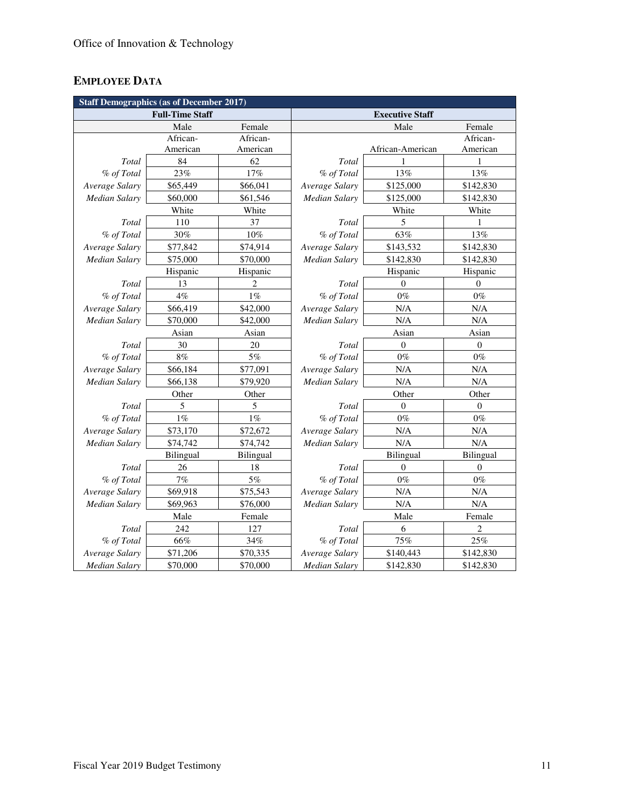# **EMPLOYEE DATA**

| <b>Staff Demographics (as of December 2017)</b> |                        |                |                             |                  |                  |  |  |  |
|-------------------------------------------------|------------------------|----------------|-----------------------------|------------------|------------------|--|--|--|
|                                                 | <b>Full-Time Staff</b> |                | <b>Executive Staff</b>      |                  |                  |  |  |  |
|                                                 | Male                   | Female         |                             | Male             | Female           |  |  |  |
|                                                 | African-               | African-       |                             |                  | African-         |  |  |  |
|                                                 | American               | American       |                             | African-American | American         |  |  |  |
| Total                                           | 84                     | 62             | Total                       | 1                | 1                |  |  |  |
| % of Total                                      | 23%                    | 17%            | % of Total                  | 13%              | 13%              |  |  |  |
| Average Salary                                  | \$65,449               | \$66,041       | Average Salary              | \$125,000        | \$142,830        |  |  |  |
| Median Salary                                   | \$60,000               | \$61,546       | Median Salary               | \$125,000        | \$142,830        |  |  |  |
|                                                 | White                  | White          | White                       |                  | White            |  |  |  |
| Total                                           | 110                    | 37             | Total                       | 5                | 1                |  |  |  |
| % of Total                                      | 30%                    | $10\%$         | % of Total                  | 63%              | 13%              |  |  |  |
| Average Salary                                  | \$77,842               | \$74,914       | Average Salary              | \$143,532        | \$142,830        |  |  |  |
| Median Salary                                   | \$75,000               | \$70,000       | Median Salary               | \$142,830        | \$142,830        |  |  |  |
|                                                 | Hispanic               | Hispanic       | Hispanic                    |                  | Hispanic         |  |  |  |
| Total                                           | 13                     | $\overline{c}$ | Total                       | $\Omega$         | $\theta$         |  |  |  |
| % of Total                                      | 4%                     | $1\%$          | % of Total                  | $0\%$            | $0\%$            |  |  |  |
| Average Salary                                  | \$66,419               | \$42,000       | Average Salary              | N/A              | N/A              |  |  |  |
| <b>Median Salary</b>                            | \$70,000               | \$42,000       | N/A<br>Median Salary        |                  | $\rm N/A$        |  |  |  |
|                                                 | Asian                  | Asian          | Asian                       |                  | Asian            |  |  |  |
| Total                                           | 30                     | 20             | Total                       | $\overline{0}$   | $\boldsymbol{0}$ |  |  |  |
| % of Total                                      | $8\%$                  | $5\%$          | % of Total                  | $0\%$            | $0\%$            |  |  |  |
| Average Salary                                  | \$66,184               | \$77,091       | Average Salary              | N/A              | N/A              |  |  |  |
| <b>Median Salary</b>                            | \$66,138               | \$79,920       | N/A<br><b>Median Salary</b> |                  | N/A              |  |  |  |
| Other<br>Other                                  |                        |                | Other<br>Other              |                  |                  |  |  |  |
| Total                                           | 5                      | 5              | Total                       | $\Omega$         | $\overline{0}$   |  |  |  |
| % of Total                                      | $1\%$                  | $1\%$          | % of Total                  | $0\%$            | $0\%$            |  |  |  |
| Average Salary                                  | \$73,170               | \$72,672       | Average Salary              | N/A              | N/A              |  |  |  |
| <b>Median Salary</b>                            | \$74,742               | \$74,742       | Median Salary               | N/A              | N/A              |  |  |  |
|                                                 | Bilingual              | Bilingual      |                             | Bilingual        | Bilingual        |  |  |  |
| Total                                           | 26                     | 18             | Total                       | $\mathbf{0}$     | $\overline{0}$   |  |  |  |
| % of Total                                      | $7\%$                  | 5%             | % of Total                  | $0\%$            | $0\%$            |  |  |  |
| Average Salary                                  | \$69,918               | \$75,543       | Average Salary              | N/A              | N/A              |  |  |  |
| <b>Median Salary</b>                            | \$69,963               | \$76,000       | Median Salary<br>N/A        |                  | N/A              |  |  |  |
|                                                 | Male                   | Female         |                             | Male             |                  |  |  |  |
| Total                                           | 242                    | 127            | Total                       | 6                | 2                |  |  |  |
| % of Total                                      | 66%                    | 34%            | % of Total                  | 75%              | 25%              |  |  |  |
| Average Salary                                  | \$71,206               | \$70,335       | Average Salary              | \$140,443        | \$142,830        |  |  |  |
| <b>Median Salary</b>                            | \$70,000               | \$70,000       | <b>Median Salary</b>        | \$142,830        | \$142,830        |  |  |  |